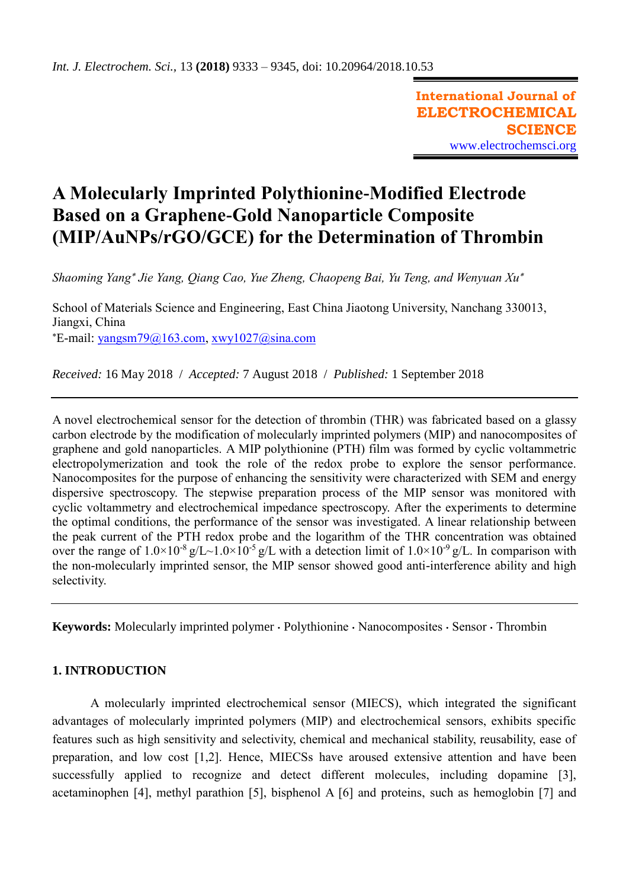# **A Molecularly Imprinted Polythionine-Modified Electrode Based on a Graphene-Gold Nanoparticle Composite (MIP/AuNPs/rGO/GCE) for the Determination of Thrombin**

*Shaoming Yang Jie Yang, Qiang Cao, Yue Zheng, Chaopeng Bai, Yu Teng, and Wenyuan Xu*

School of Materials Science and Engineering, East China Jiaotong University, Nanchang 330013, Jiangxi, China  $E$ -mail: [yangsm79@163.com,](mailto:yangsm79@163.com) [xwy1027@sina.com](mailto:xwy1027@sina.com)

*Received:* 16 May 2018/ *Accepted:* 7 August 2018 / *Published:* 1 September 2018

A novel electrochemical sensor for the detection of thrombin (THR) was fabricated based on a glassy carbon electrode by the modification of molecularly imprinted polymers (MIP) and nanocomposites of graphene and gold nanoparticles. A MIP polythionine (PTH) film was formed by cyclic voltammetric electropolymerization and took the role of the redox probe to explore the sensor performance. Nanocomposites for the purpose of enhancing the sensitivity were characterized with SEM and energy dispersive spectroscopy. The stepwise preparation process of the MIP sensor was monitored with cyclic voltammetry and electrochemical impedance spectroscopy. After the experiments to determine the optimal conditions, the performance of the sensor was investigated. A linear relationship between the peak current of the PTH redox probe and the logarithm of the THR concentration was obtained over the range of  $1.0\times10^{-8}$  g/L $\sim1.0\times10^{-5}$  g/L with a detection limit of  $1.0\times10^{-9}$  g/L. In comparison with the non-molecularly imprinted sensor, the MIP sensor showed good anti-interference ability and high selectivity.

Keywords: Molecularly imprinted polymer  $\cdot$  Polythionine  $\cdot$  Nanocomposites  $\cdot$  Sensor  $\cdot$  Thrombin

# **1. INTRODUCTION**

A molecularly imprinted electrochemical sensor (MIECS), which integrated the significant advantages of molecularly imprinted polymers (MIP) and electrochemical sensors, exhibits specific features such as high sensitivity and selectivity, chemical and mechanical stability, reusability, ease of preparation, and low cost [1,2]. Hence, MIECSs have aroused extensive attention and have been successfully applied to recognize and detect different molecules, including dopamine [3], acetaminophen [4], methyl parathion [5], bisphenol A [6] and proteins, such as hemoglobin [7] and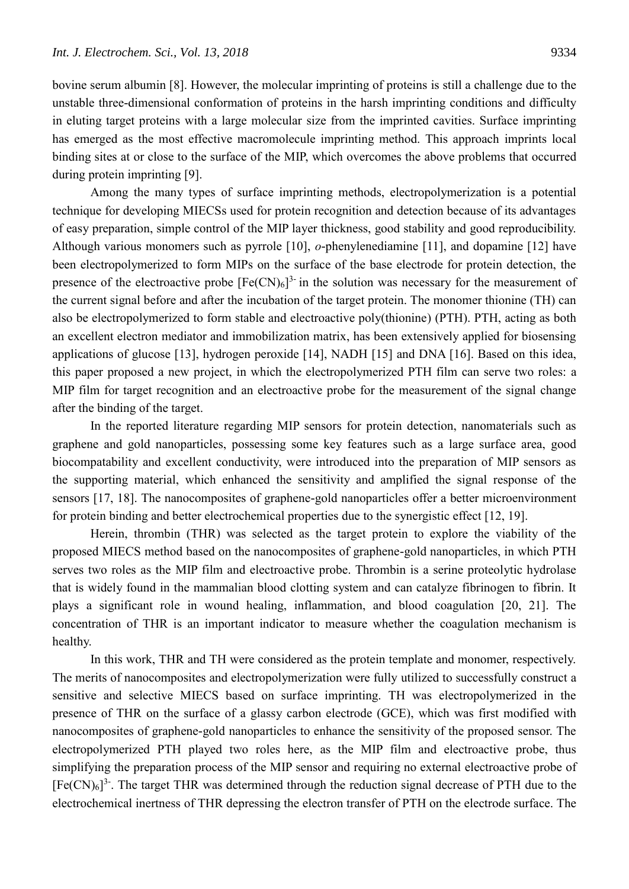bovine serum albumin [8]. However, the molecular imprinting of proteins is still a challenge due to the unstable three-dimensional conformation of proteins in the harsh imprinting conditions and difficulty in eluting target proteins with a large molecular size from the imprinted cavities. Surface imprinting has emerged as the most effective macromolecule imprinting method. This approach imprints local binding sites at or close to the surface of the MIP, which overcomes the above problems that occurred during protein imprinting [9].

Among the many types of surface imprinting methods, electropolymerization is a potential technique for developing MIECSs used for protein recognition and detection because of its advantages of easy preparation, simple control of the MIP layer thickness, good stability and good reproducibility. Although various monomers such as pyrrole [10], *o*-phenylenediamine [11], and dopamine [12] have been electropolymerized to form MIPs on the surface of the base electrode for protein detection, the presence of the electroactive probe  $[Fe(CN)_6]^{3-}$  in the solution was necessary for the measurement of the current signal before and after the incubation of the target protein. The monomer thionine (TH) can also be electropolymerized to form stable and electroactive poly(thionine) (PTH). PTH, acting as both an excellent electron mediator and immobilization matrix, has been extensively applied for biosensing applications of glucose [13], hydrogen peroxide [14], NADH [15] and DNA [16]. Based on this idea, this paper proposed a new project, in which the electropolymerized PTH film can serve two roles: a MIP film for target recognition and an electroactive probe for the measurement of the signal change after the binding of the target.

In the reported literature regarding MIP sensors for protein detection, nanomaterials such as graphene and gold nanoparticles, possessing some key features such as a large surface area, good biocompatability and excellent conductivity, were introduced into the preparation of MIP sensors as the supporting material, which enhanced the sensitivity and amplified the signal response of the sensors [17, 18]. The nanocomposites of graphene-gold nanoparticles offer a better microenvironment for protein binding and better electrochemical properties due to the synergistic effect [12, 19].

Herein, thrombin (THR) was selected as the target protein to explore the viability of the proposed MIECS method based on the nanocomposites of graphene-gold nanoparticles, in which PTH serves two roles as the MIP film and electroactive probe. Thrombin is a serine proteolytic hydrolase that is widely found in the mammalian blood clotting system and can catalyze fibrinogen to fibrin. It plays a significant role in wound healing, inflammation, and blood coagulation [20, 21]. The concentration of THR is an important indicator to measure whether the coagulation mechanism is healthy.

In this work, THR and TH were considered as the protein template and monomer, respectively. The merits of nanocomposites and electropolymerization were fully utilized to successfully construct a sensitive and selective MIECS based on surface imprinting. TH was electropolymerized in the presence of THR on the surface of a glassy carbon electrode (GCE), which was first modified with nanocomposites of graphene-gold nanoparticles to enhance the sensitivity of the proposed sensor. The electropolymerized PTH played two roles here, as the MIP film and electroactive probe, thus simplifying the preparation process of the MIP sensor and requiring no external electroactive probe of  $[Fe(CN)_6]^3$ . The target THR was determined through the reduction signal decrease of PTH due to the electrochemical inertness of THR depressing the electron transfer of PTH on the electrode surface. The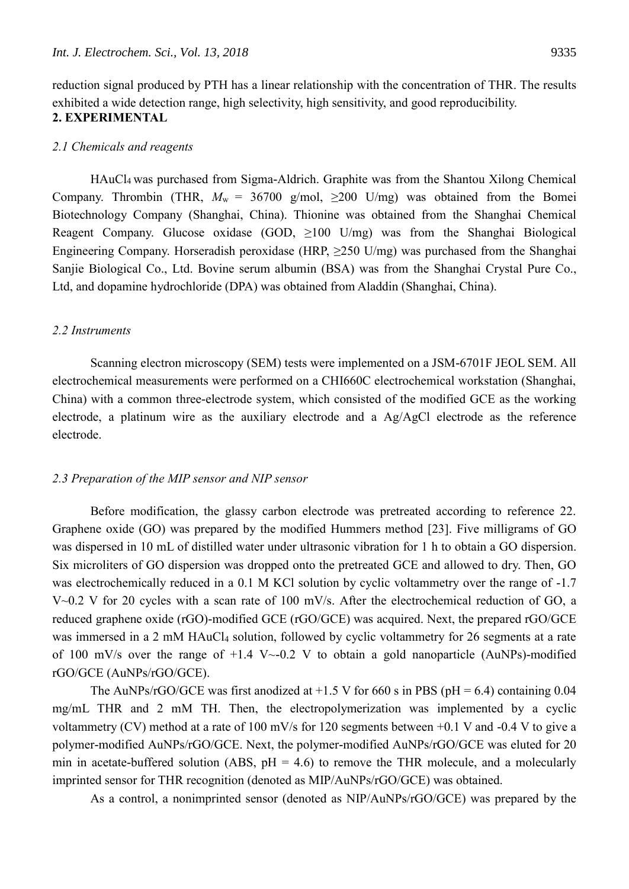reduction signal produced by PTH has a linear relationship with the concentration of THR. The results exhibited a wide detection range, high selectivity, high sensitivity, and good reproducibility. **2. EXPERIMENTAL**

### *2.1 Chemicals and reagents*

HAuCl4 was purchased from Sigma-Aldrich. Graphite was from the Shantou Xilong Chemical Company. Thrombin (THR,  $M_w = 36700$  g/mol,  $\geq 200$  U/mg) was obtained from the Bomei Biotechnology Company (Shanghai, China). Thionine was obtained from the Shanghai Chemical Reagent Company. Glucose oxidase (GOD,  $\geq 100$  U/mg) was from the Shanghai Biological Engineering Company. Horseradish peroxidase (HRP, ≥250 U/mg) was purchased from the Shanghai Sanjie Biological Co., Ltd. Bovine serum albumin (BSA) was from the Shanghai Crystal Pure Co., Ltd, and dopamine hydrochloride (DPA) was obtained from Aladdin (Shanghai, China).

## *2.2 Instruments*

Scanning electron microscopy (SEM) tests were implemented on a JSM-6701F JEOL SEM. All electrochemical measurements were performed on a CHI660C electrochemical workstation (Shanghai, China) with a common three-electrode system, which consisted of the modified GCE as the working electrode, a platinum wire as the auxiliary electrode and a Ag/AgCl electrode as the reference electrode.

# *2.3 Preparation of the MIP sensor and NIP sensor*

Before modification, the glassy carbon electrode was pretreated according to reference 22. Graphene oxide (GO) was prepared by the modified Hummers method [23]. Five milligrams of GO was dispersed in 10 mL of distilled water under ultrasonic vibration for 1 h to obtain a GO dispersion. Six microliters of GO dispersion was dropped onto the pretreated GCE and allowed to dry. Then, GO was electrochemically reduced in a 0.1 M KCl solution by cyclic voltammetry over the range of -1.7 V~0.2 V for 20 cycles with a scan rate of 100 mV/s. After the electrochemical reduction of GO, a reduced graphene oxide (rGO)-modified GCE (rGO/GCE) was acquired. Next, the prepared rGO/GCE was immersed in a 2 mM HAuCl<sub>4</sub> solution, followed by cyclic voltammetry for 26 segments at a rate of 100 mV/s over the range of  $+1.4$  V $\sim$ -0.2 V to obtain a gold nanoparticle (AuNPs)-modified rGO/GCE (AuNPs/rGO/GCE).

The AuNPs/rGO/GCE was first anodized at  $+1.5$  V for 660 s in PBS (pH = 6.4) containing 0.04 mg/mL THR and 2 mM TH. Then, the electropolymerization was implemented by a cyclic voltammetry (CV) method at a rate of 100 mV/s for 120 segments between +0.1 V and -0.4 V to give a polymer-modified AuNPs/rGO/GCE. Next, the polymer-modified AuNPs/rGO/GCE was eluted for 20 min in acetate-buffered solution (ABS,  $pH = 4.6$ ) to remove the THR molecule, and a molecularly imprinted sensor for THR recognition (denoted as MIP/AuNPs/rGO/GCE) was obtained.

As a control, a nonimprinted sensor (denoted as NIP/AuNPs/rGO/GCE) was prepared by the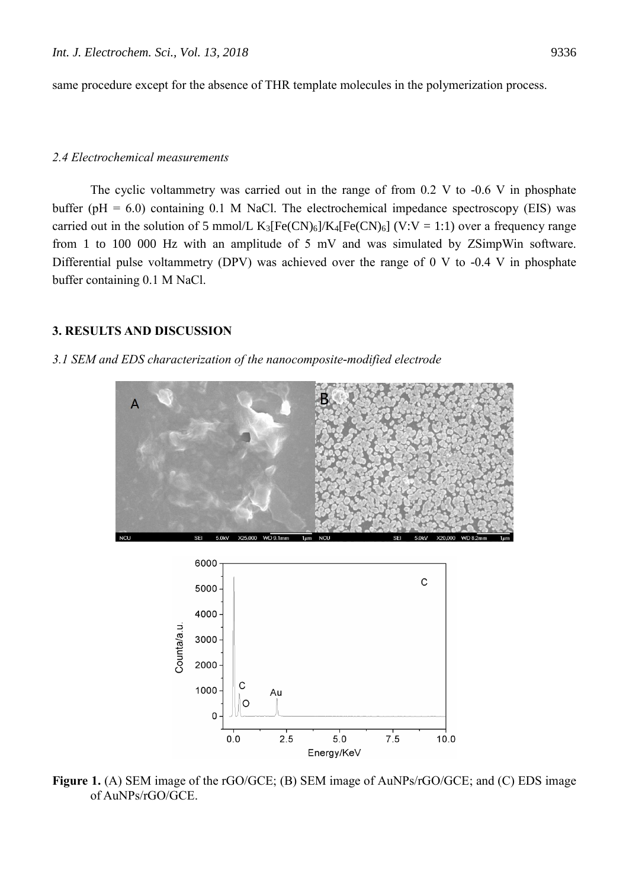same procedure except for the absence of THR template molecules in the polymerization process.

## *2.4 Electrochemical measurements*

The cyclic voltammetry was carried out in the range of from 0.2 V to -0.6 V in phosphate buffer ( $pH = 6.0$ ) containing 0.1 M NaCl. The electrochemical impedance spectroscopy (EIS) was carried out in the solution of 5 mmol/L K<sub>3</sub>[Fe(CN)<sub>6</sub>]/K<sub>4</sub>[Fe(CN)<sub>6</sub>] (V:V = 1:1) over a frequency range from 1 to 100 000 Hz with an amplitude of 5 mV and was simulated by ZSimpWin software. Differential pulse voltammetry (DPV) was achieved over the range of 0 V to -0.4 V in phosphate buffer containing 0.1 M NaCl.

# **3. RESULTS AND DISCUSSION**

## *3.1 SEM and EDS characterization of the nanocomposite-modified electrode*





**Figure 1.** (A) SEM image of the rGO/GCE; (B) SEM image of AuNPs/rGO/GCE; and (C) EDS image of AuNPs/rGO/GCE.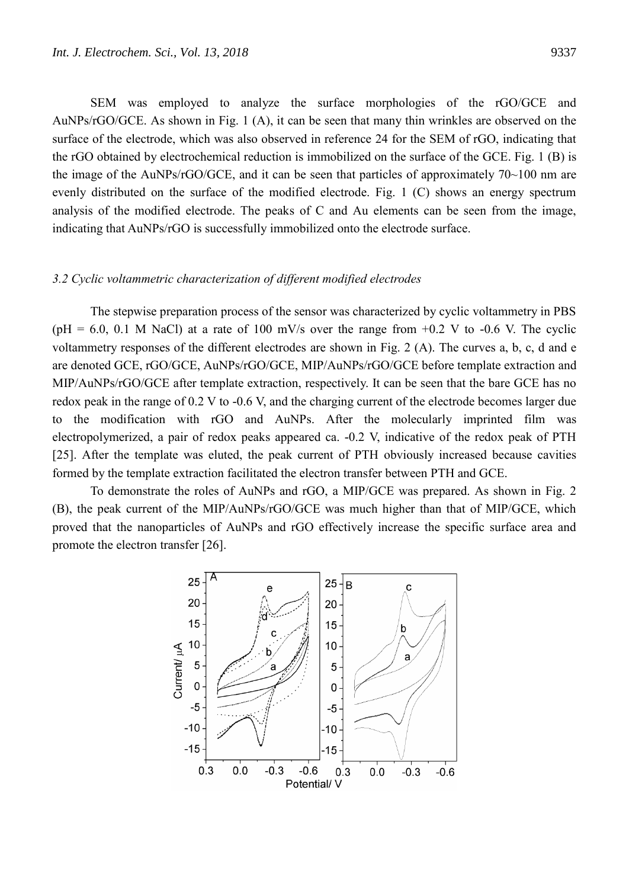SEM was employed to analyze the surface morphologies of the rGO/GCE and AuNPs/rGO/GCE. As shown in Fig. 1 (A), it can be seen that many thin wrinkles are observed on the surface of the electrode, which was also observed in reference 24 for the SEM of rGO, indicating that the rGO obtained by electrochemical reduction is immobilized on the surface of the GCE. Fig. 1 (B) is the image of the AuNPs/rGO/GCE, and it can be seen that particles of approximately 70~100 nm are evenly distributed on the surface of the modified electrode. Fig. 1 (C) shows an energy spectrum analysis of the modified electrode. The peaks of C and Au elements can be seen from the image, indicating that AuNPs/rGO is successfully immobilized onto the electrode surface.

## *3.2 Cyclic voltammetric characterization of different modified electrodes*

The stepwise preparation process of the sensor was characterized by cyclic voltammetry in PBS (pH = 6.0, 0.1 M NaCl) at a rate of 100 mV/s over the range from  $+0.2$  V to -0.6 V. The cyclic voltammetry responses of the different electrodes are shown in Fig. 2 (A). The curves a, b, c, d and e are denoted GCE, rGO/GCE, AuNPs/rGO/GCE, MIP/AuNPs/rGO/GCE before template extraction and MIP/AuNPs/rGO/GCE after template extraction, respectively. It can be seen that the bare GCE has no redox peak in the range of 0.2 V to -0.6 V, and the charging current of the electrode becomes larger due to the modification with rGO and AuNPs. After the molecularly imprinted film was electropolymerized, a pair of redox peaks appeared ca. -0.2 V, indicative of the redox peak of PTH [25]. After the template was eluted, the peak current of PTH obviously increased because cavities formed by the template extraction facilitated the electron transfer between PTH and GCE.

To demonstrate the roles of AuNPs and rGO, a MIP/GCE was prepared. As shown in Fig. 2 (B), the peak current of the MIP/AuNPs/rGO/GCE was much higher than that of MIP/GCE, which proved that the nanoparticles of AuNPs and rGO effectively increase the specific surface area and promote the electron transfer [26].

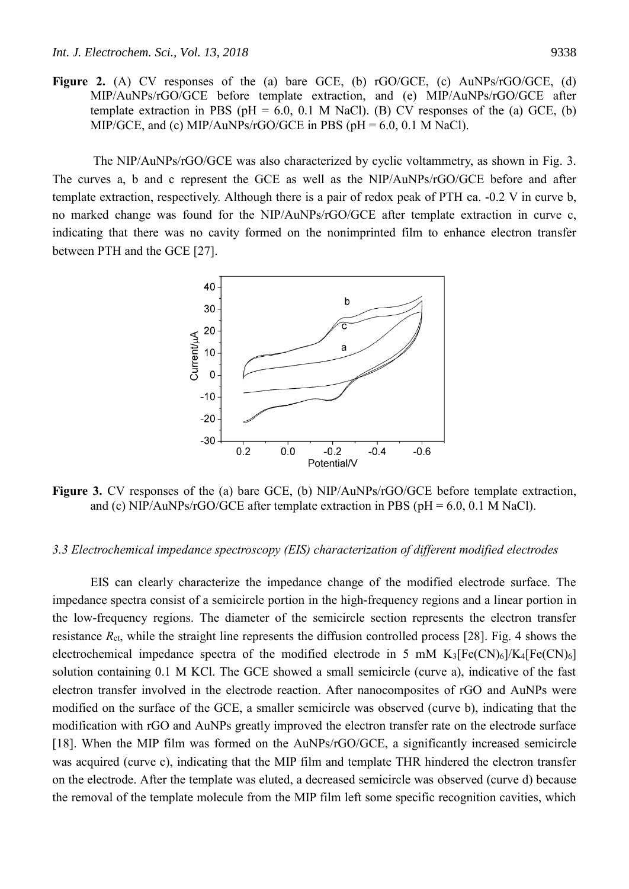**Figure 2.** (A) CV responses of the (a) bare GCE, (b) rGO/GCE, (c) AuNPs/rGO/GCE, (d) MIP/AuNPs/rGO/GCE before template extraction, and (e) MIP/AuNPs/rGO/GCE after template extraction in PBS ( $pH = 6.0$ , 0.1 M NaCl). (B) CV responses of the (a) GCE, (b)  $MIP/GCE$ , and (c)  $MIP/AuNPs/rGO/GCE$  in PBS (pH = 6.0, 0.1 M NaCl).

The NIP/AuNPs/rGO/GCE was also characterized by cyclic voltammetry, as shown in Fig. 3. The curves a, b and c represent the GCE as well as the NIP/AuNPs/rGO/GCE before and after template extraction, respectively. Although there is a pair of redox peak of PTH ca. -0.2 V in curve b, no marked change was found for the NIP/AuNPs/rGO/GCE after template extraction in curve c, indicating that there was no cavity formed on the nonimprinted film to enhance electron transfer between PTH and the GCE [27].



Figure 3. CV responses of the (a) bare GCE, (b) NIP/AuNPs/rGO/GCE before template extraction, and (c)  $NIP/AuNPs/rGO/GCE$  after template extraction in PBS ( $pH = 6.0, 0.1 M NaCl$ ).

## *3.3 Electrochemical impedance spectroscopy (EIS) characterization of different modified electrodes*

EIS can clearly characterize the impedance change of the modified electrode surface. The impedance spectra consist of a semicircle portion in the high-frequency regions and a linear portion in the low-frequency regions. The diameter of the semicircle section represents the electron transfer resistance *R*ct, while the straight line represents the diffusion controlled process [28]. Fig. 4 shows the electrochemical impedance spectra of the modified electrode in 5 mM  $K_3[Fe(CN)_6]/K_4[Fe(CN)_6]$ solution containing 0.1 M KCl. The GCE showed a small semicircle (curve a), indicative of the fast electron transfer involved in the electrode reaction. After nanocomposites of rGO and AuNPs were modified on the surface of the GCE, a smaller semicircle was observed (curve b), indicating that the modification with rGO and AuNPs greatly improved the electron transfer rate on the electrode surface [18]. When the MIP film was formed on the AuNPs/rGO/GCE, a significantly increased semicircle was acquired (curve c), indicating that the MIP film and template THR hindered the electron transfer on the electrode. After the template was eluted, a decreased semicircle was observed (curve d) because the removal of the template molecule from the MIP film left some specific recognition cavities, which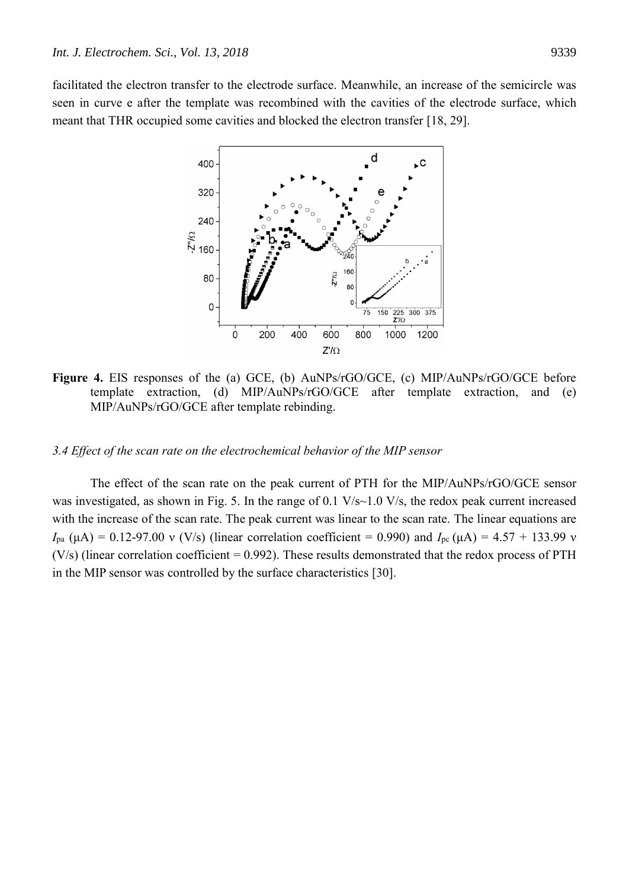facilitated the electron transfer to the electrode surface. Meanwhile, an increase of the semicircle was seen in curve e after the template was recombined with the cavities of the electrode surface, which meant that THR occupied some cavities and blocked the electron transfer [18, 29].



**Figure 4.** EIS responses of the (a) GCE, (b) AuNPs/rGO/GCE, (c) MIP/AuNPs/rGO/GCE before template extraction, (d) MIP/AuNPs/rGO/GCE after template extraction, and (e) MIP/AuNPs/rGO/GCE after template rebinding.

# *3.4 Effect of the scan rate on the electrochemical behavior of the MIP sensor*

The effect of the scan rate on the peak current of PTH for the MIP/AuNPs/rGO/GCE sensor was investigated, as shown in Fig. 5. In the range of 0.1 V/s~1.0 V/s, the redox peak current increased with the increase of the scan rate. The peak current was linear to the scan rate. The linear equations are *I*<sub>pa</sub> (μA) = 0.12-97.00 ν (V/s) (linear correlation coefficient = 0.990) and *I*<sub>pc</sub> (μA) = 4.57 + 133.99 ν (V/s) (linear correlation coefficient =  $0.992$ ). These results demonstrated that the redox process of PTH in the MIP sensor was controlled by the surface characteristics [30].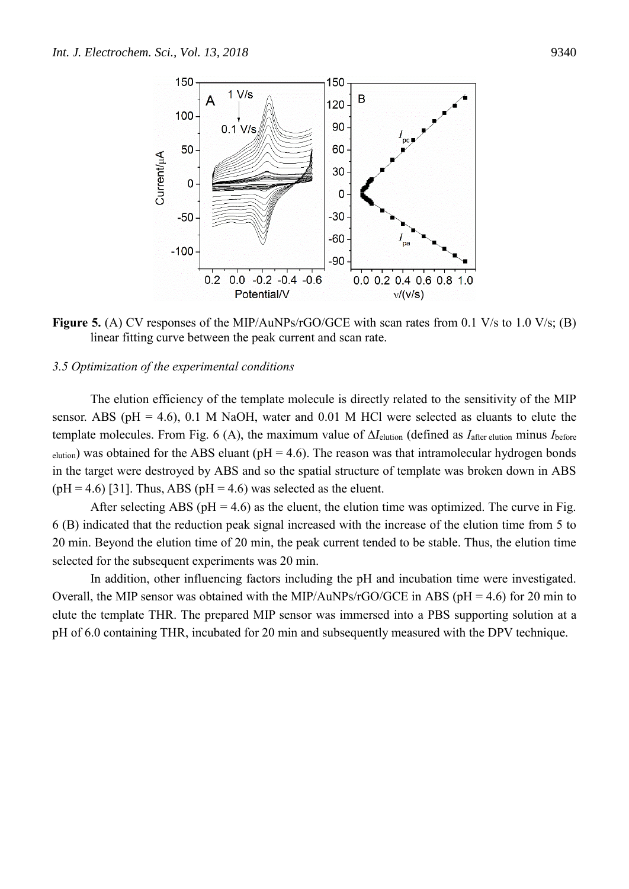

**Figure 5.** (A) CV responses of the MIP/AuNPs/rGO/GCE with scan rates from 0.1 V/s to 1.0 V/s; (B) linear fitting curve between the peak current and scan rate.

## *3.5 Optimization of the experimental conditions*

The elution efficiency of the template molecule is directly related to the sensitivity of the MIP sensor. ABS ( $pH = 4.6$ ), 0.1 M NaOH, water and 0.01 M HCl were selected as eluants to elute the template molecules. From Fig. 6 (A), the maximum value of *I*elution (defined as *I*after elution minus *I*before  $_{\text{elution}}$ ) was obtained for the ABS eluant (pH = 4.6). The reason was that intramolecular hydrogen bonds in the target were destroyed by ABS and so the spatial structure of template was broken down in ABS  $(pH = 4.6)$  [31]. Thus, ABS ( $pH = 4.6$ ) was selected as the eluent.

After selecting ABS ( $pH = 4.6$ ) as the eluent, the elution time was optimized. The curve in Fig. 6 (B) indicated that the reduction peak signal increased with the increase of the elution time from 5 to 20 min. Beyond the elution time of 20 min, the peak current tended to be stable. Thus, the elution time selected for the subsequent experiments was 20 min.

In addition, other influencing factors including the pH and incubation time were investigated. Overall, the MIP sensor was obtained with the MIP/AuNPs/rGO/GCE in ABS ( $pH = 4.6$ ) for 20 min to elute the template THR. The prepared MIP sensor was immersed into a PBS supporting solution at a pH of 6.0 containing THR, incubated for 20 min and subsequently measured with the DPV technique.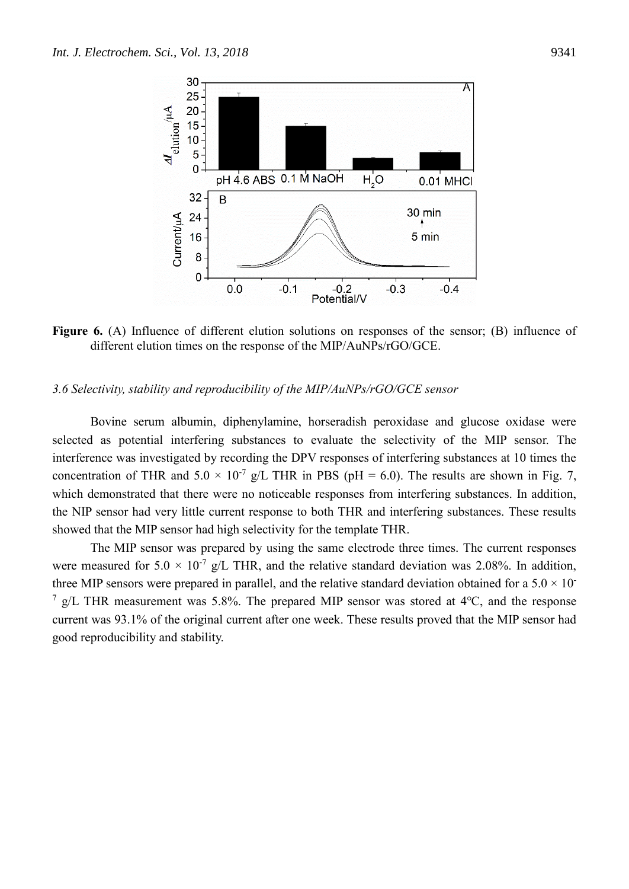

**Figure 6.** (A) Influence of different elution solutions on responses of the sensor; (B) influence of different elution times on the response of the MIP/AuNPs/rGO/GCE.

## *3.6 Selectivity, stability and reproducibility of the MIP/AuNPs/rGO/GCE sensor*

Bovine serum albumin, diphenylamine, horseradish peroxidase and glucose oxidase were selected as potential interfering substances to evaluate the selectivity of the MIP sensor. The interference was investigated by recording the DPV responses of interfering substances at 10 times the concentration of THR and  $5.0 \times 10^{-7}$  g/L THR in PBS (pH = 6.0). The results are shown in Fig. 7, which demonstrated that there were no noticeable responses from interfering substances. In addition, the NIP sensor had very little current response to both THR and interfering substances. These results showed that the MIP sensor had high selectivity for the template THR.

The MIP sensor was prepared by using the same electrode three times. The current responses were measured for  $5.0 \times 10^{-7}$  g/L THR, and the relative standard deviation was 2.08%. In addition, three MIP sensors were prepared in parallel, and the relative standard deviation obtained for a  $5.0 \times 10^{-1}$ <sup>7</sup> g/L THR measurement was 5.8%. The prepared MIP sensor was stored at 4 °C, and the response current was 93.1% of the original current after one week. These results proved that the MIP sensor had good reproducibility and stability.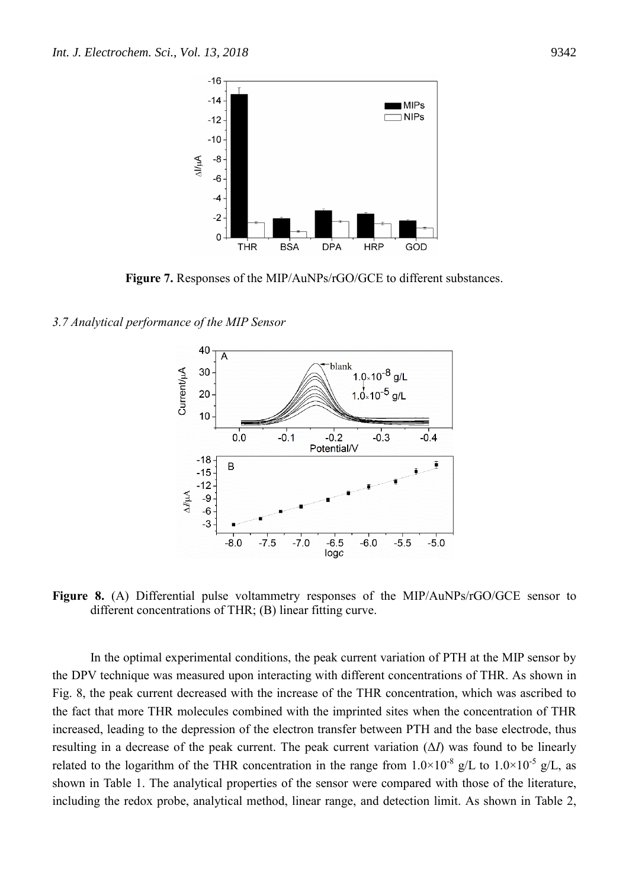

**Figure 7.** Responses of the MIP/AuNPs/rGO/GCE to different substances.

*3.7 Analytical performance of the MIP Sensor*



**Figure 8.** (A) Differential pulse voltammetry responses of the MIP/AuNPs/rGO/GCE sensor to different concentrations of THR; (B) linear fitting curve.

In the optimal experimental conditions, the peak current variation of PTH at the MIP sensor by the DPV technique was measured upon interacting with different concentrations of THR. As shown in Fig. 8, the peak current decreased with the increase of the THR concentration, which was ascribed to the fact that more THR molecules combined with the imprinted sites when the concentration of THR increased, leading to the depression of the electron transfer between PTH and the base electrode, thus resulting in a decrease of the peak current. The peak current variation (Δ*I*) was found to be linearly related to the logarithm of the THR concentration in the range from  $1.0 \times 10^{-8}$  g/L to  $1.0 \times 10^{-5}$  g/L, as shown in Table 1. The analytical properties of the sensor were compared with those of the literature, including the redox probe, analytical method, linear range, and detection limit. As shown in Table 2,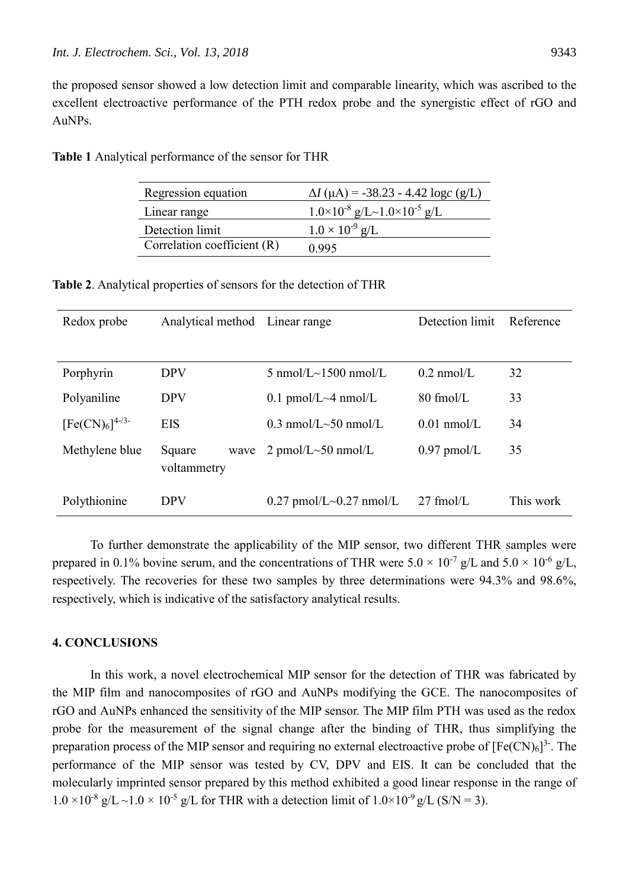the proposed sensor showed a low detection limit and comparable linearity, which was ascribed to the excellent electroactive performance of the PTH redox probe and the synergistic effect of rGO and AuNPs.

| Regression equation           | $\Delta I$ (µA) = -38.23 - 4.42 logc (g/L)     |
|-------------------------------|------------------------------------------------|
| Linear range                  | $1.0\times10^{-8}$ g/L $~1.0\times10^{-5}$ g/L |
| Detection limit               | $1.0 \times 10^{-9}$ g/L                       |
| Correlation coefficient $(R)$ | 0.995                                          |

**Table 1** Analytical performance of the sensor for THR

**Table 2**. Analytical properties of sensors for the detection of THR

| Redox probe                  | Analytical method             | Linear range                                | Detection limit     | Reference |
|------------------------------|-------------------------------|---------------------------------------------|---------------------|-----------|
|                              |                               |                                             |                     |           |
| Porphyrin                    | <b>DPV</b>                    | $5 \text{ nmol/L} \sim 1500 \text{ nmol/L}$ | $0.2$ nmol/L        | 32        |
| Polyaniline                  | <b>DPV</b>                    | 0.1 pmol/L $\sim$ 4 nmol/L                  | $80 \text{ fmol/L}$ | 33        |
| $[Fe(CN)6]$ <sup>4-/3-</sup> | <b>EIS</b>                    | $0.3 \text{ nmol/L} \sim 50 \text{ nmol/L}$ | $0.01$ nmol/L       | 34        |
| Methylene blue               | Square<br>wave<br>voltammetry | $2$ pmol/L $\sim$ 50 nmol/L                 | $0.97$ pmol/L       | 35        |
| Polythionine                 | <b>DPV</b>                    | $0.27$ pmol/L $\sim 0.27$ nmol/L            | $27$ fmol/L         | This work |

To further demonstrate the applicability of the MIP sensor, two different THR samples were prepared in 0.1% bovine serum, and the concentrations of THR were  $5.0 \times 10^{-7}$  g/L and  $5.0 \times 10^{-6}$  g/L, respectively. The recoveries for these two samples by three determinations were 94.3% and 98.6%, respectively, which is indicative of the satisfactory analytical results.

# **4. CONCLUSIONS**

In this work, a novel electrochemical MIP sensor for the detection of THR was fabricated by the MIP film and nanocomposites of rGO and AuNPs modifying the GCE. The nanocomposites of rGO and AuNPs enhanced the sensitivity of the MIP sensor. The MIP film PTH was used as the redox probe for the measurement of the signal change after the binding of THR, thus simplifying the preparation process of the MIP sensor and requiring no external electroactive probe of  $[Fe(CN)_6]$ <sup>3-</sup>. The performance of the MIP sensor was tested by CV, DPV and EIS. It can be concluded that the molecularly imprinted sensor prepared by this method exhibited a good linear response in the range of  $1.0 \times 10^{-8}$  g/L  $\sim$ 1.0  $\times$  10<sup>-5</sup> g/L for THR with a detection limit of  $1.0 \times 10^{-9}$  g/L (S/N = 3).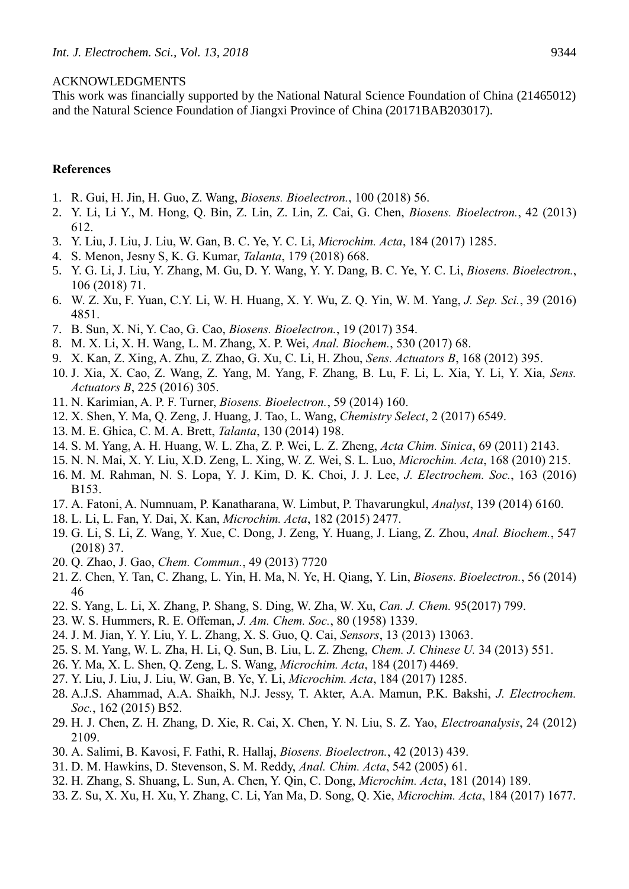#### ACKNOWLEDGMENTS

This work was financially supported by the National Natural Science Foundation of China (21465012) and the Natural Science Foundation of Jiangxi Province of China (20171BAB203017).

# **References**

- 1. R. Gui, H. Jin, H. Guo, Z. Wang, *Biosens. Bioelectron.*, 100 (2018) 56.
- 2. Y. Li, Li Y., M. Hong, Q. Bin, Z. Lin, Z. Lin, Z. Cai, G. Chen, *Biosens. Bioelectron.*, 42 (2013) 612.
- 3. Y. Liu, J. Liu, J. Liu, W. Gan, B. C. Ye, Y. C. Li, *Microchim. Acta*, 184 (2017) 1285.
- 4. S. Menon, Jesny S, K. G. Kumar, *Talanta*, 179 (2018) 668.
- 5. Y. G. Li, J. Liu, Y. Zhang, M. Gu, D. Y. Wang, Y. Y. Dang, B. C. Ye, Y. C. Li, *Biosens. Bioelectron.*, 106 (2018) 71.
- 6. W. Z. Xu, F. Yuan, C.Y. Li, W. H. Huang, X. Y. Wu, Z. Q. Yin, W. M. Yang, *J. Sep. Sci.*, 39 (2016) 4851.
- 7. B. Sun, X. Ni, Y. Cao, G. Cao, *Biosens. Bioelectron.*, 19 (2017) 354.
- 8. M. X. Li, X. H. Wang, L. M. Zhang, X. P. Wei, *Anal. Biochem.*, 530 (2017) 68.
- 9. X. Kan, Z. Xing, A. Zhu, Z. Zhao, G. Xu, C. Li, H. Zhou, *Sens. Actuators B*, 168 (2012) 395.
- 10. J. Xia, X. Cao, Z. Wang, Z. Yang, M. Yang, F. Zhang, B. Lu, F. Li, L. Xia, Y. Li, Y. Xia, *Sens. Actuators B*, 225 (2016) 305.
- 11. N. Karimian, A. P. F. Turner, *Biosens. Bioelectron.*, 59 (2014) 160.
- 12. X. Shen, Y. Ma, Q. Zeng, J. Huang, J. Tao, L. Wang, *Chemistry Select*, 2 (2017) 6549.
- 13. M. E. Ghica, C. M. A. Brett, *Talanta*, 130 (2014) 198.
- 14. S. M. Yang, A. H. Huang, W. L. Zha, Z. P. Wei, L. Z. Zheng, *Acta Chim. Sinica*, 69 (2011) 2143.
- 15. N. N. Mai, X. Y. Liu, X.D. Zeng, L. Xing, W. Z. Wei, S. L. Luo, *Microchim. Acta*, 168 (2010) 215.
- 16. M. M. Rahman, N. S. Lopa, Y. J. Kim, D. K. Choi, J. J. Lee, *J. Electrochem. Soc.*, 163 (2016) B153.
- 17. A. Fatoni, A. Numnuam, P. Kanatharana, W. Limbut, P. Thavarungkul, *Analyst*, 139 (2014) 6160.
- 18. L. Li, L. Fan, Y. Dai, X. Kan, *Microchim. Acta*, 182 (2015) 2477.
- 19. G. Li, S. Li, Z. Wang, Y. Xue, C. Dong, J. Zeng, Y. Huang, J. Liang, Z. Zhou, *Anal. Biochem.*, 547 (2018) 37.
- 20. Q. Zhao, J. Gao, *Chem. Commun.*, 49 (2013) 7720
- 21. Z. Chen, Y. Tan, C. Zhang, L. Yin, H. Ma, N. Ye, H. Qiang, Y. Lin, *Biosens. Bioelectron.*, 56 (2014) 46
- 22. S. Yang, L. Li, X. Zhang, P. Shang, S. Ding, W. Zha, W. Xu, *Can. J. Chem.* 95(2017) 799.
- 23. W. S. Hummers, R. E. Offeman, *J. Am. Chem. Soc.*, 80 (1958) 1339.
- 24. J. M. Jian, Y. Y. Liu, Y. L. Zhang, X. S. Guo, Q. Cai, *Sensors*, 13 (2013) 13063.
- 25. S. M. Yang, W. L. Zha, H. Li, Q. Sun, B. Liu, L. Z. Zheng, *Chem. J. Chinese U.* 34 (2013) 551.
- 26. Y. Ma, X. L. Shen, Q. Zeng, L. S. Wang, *Microchim. Acta*, 184 (2017) 4469.
- 27. Y. Liu, J. Liu, J. Liu, W. Gan, B. Ye, Y. Li, *Microchim. Acta*, 184 (2017) 1285.
- 28. A.J.S. Ahammad, A.A. Shaikh, N.J. Jessy, T. Akter, A.A. Mamun, P.K. Bakshi, *J. Electrochem. Soc.*, 162 (2015) B52.
- 29. H. J. Chen, Z. H. Zhang, D. Xie, R. Cai, X. Chen, Y. N. Liu, S. Z. Yao, *Electroanalysis*, 24 (2012) 2109.
- 30. A. Salimi, B. Kavosi, F. Fathi, R. Hallaj, *Biosens. Bioelectron.*, 42 (2013) 439.
- 31. D. M. Hawkins, D. Stevenson, S. M. Reddy, *Anal. Chim. Acta*, 542 (2005) 61.
- 32. H. Zhang, S. Shuang, L. Sun, A. Chen, Y. Qin, C. Dong, *Microchim. Acta*, 181 (2014) 189.
- 33. Z. Su, X. Xu, H. Xu, Y. Zhang, C. Li, Yan Ma, D. Song, Q. Xie, *Microchim. Acta*, 184 (2017) 1677.